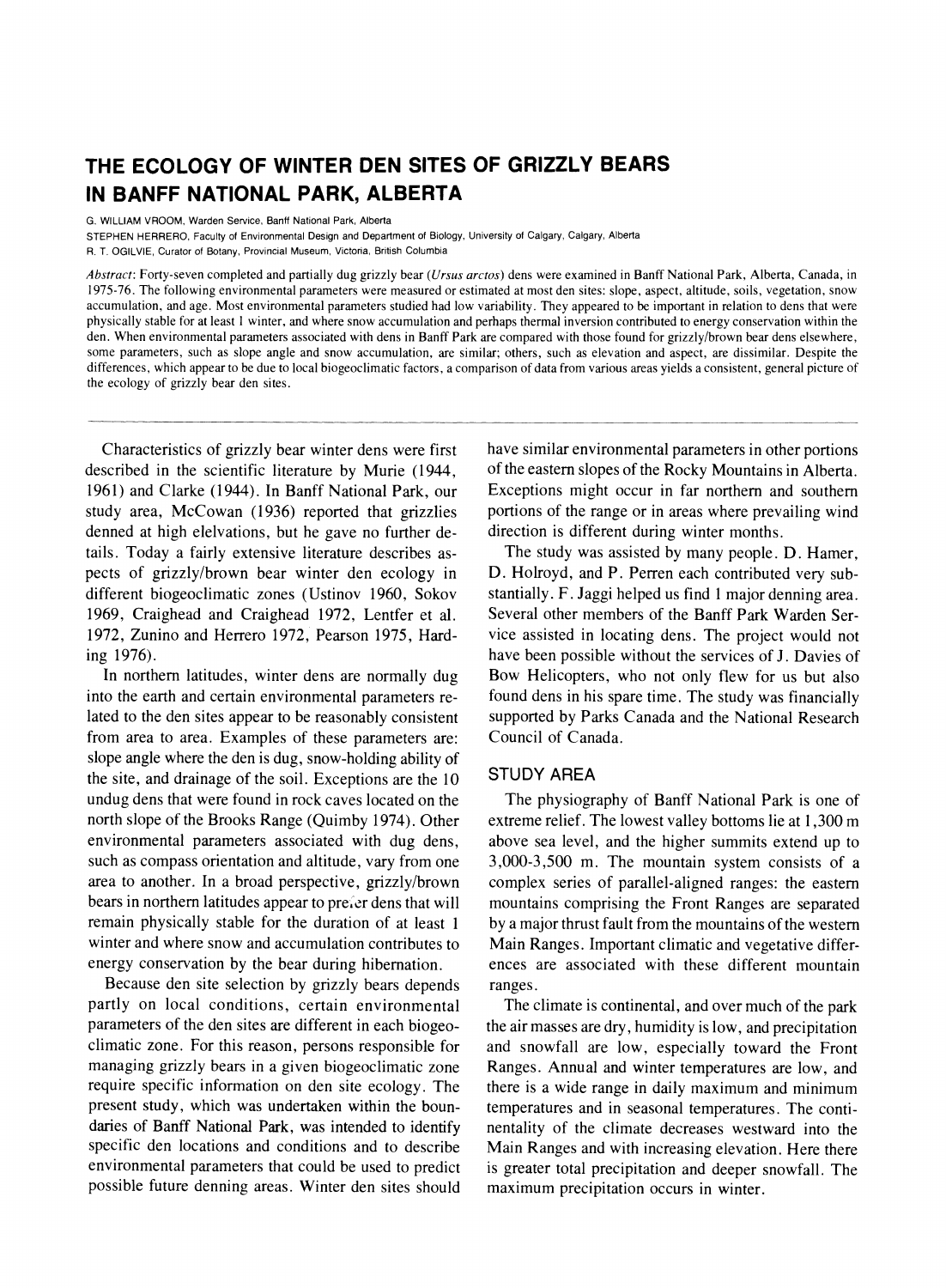# **THE ECOLOGY OF WINTER DEN SITES OF GRIZZLY BEARS IN BANFF NATIONAL PARK, ALBERTA**

**G. WILLIAM VROOM, Warden Service, Banff National Park, Alberta** 

**STEPHEN HERRERO, Faculty of Environmental Design and Department of Biology, University of Calgary, Calgary, Alberta** 

**R. T. OGILVIE, Curator of Botany, Provincial Museum, Victoria, British Columbia** 

**Abstract: Forty-seven completed and partially dug grizzly bear (Ursus arctos) dens were examined in Banff National Park, Alberta, Canada, in 1975-76. The following environmental parameters were measured or estimated at most den sites: slope, aspect, altitude, soils, vegetation, snow accumulation, and age. Most environmental parameters studied had low variability. They appeared to be important in relation to dens that were physically stable for at least 1 winter, and where snow accumulation and perhaps thermal inversion contributed to energy conservation within the den. When environmental parameters associated with dens in Banff Park are compared with those found for grizzly/brown bear dens elsewhere, some parameters, such as slope angle and snow accumulation, are similar; others, such as elevation and aspect, are dissimilar. Despite the differences, which appear to be due to local biogeoclimatic factors, a comparison of data from various areas yields a consistent, general picture of the ecology of grizzly bear den sites.** 

**Characteristics of grizzly bear winter dens were first described in the scientific literature by Murie (1944, 1961) and Clarke (1944). In Banff National Park, our study area, McCowan (1936) reported that grizzlies denned at high elelvations, but he gave no further details. Today a fairly extensive literature describes aspects of grizzly/brown bear winter den ecology in different biogeoclimatic zones (Ustinov 1960, Sokov 1969, Craighead and Craighead 1972, Lentfer et al. 1972, Zunino and Herrero 1972, Pearson 1975, Harding 1976).** 

**In northern latitudes, winter dens are normally dug into the earth and certain environmental parameters related to the den sites appear to be reasonably consistent from area to area. Examples of these parameters are: slope angle where the den is dug, snow-holding ability of the site, and drainage of the soil. Exceptions are the 10 undug dens that were found in rock caves located on the north slope of the Brooks Range (Quimby 1974). Other environmental parameters associated with dug dens, such as compass orientation and altitude, vary from one area to another. In a broad perspective, grizzly/brown bears in northern latitudes appear to pre;ler dens that will remain physically stable for the duration of at least 1 winter and where snow and accumulation contributes to energy conservation by the bear during hibernation.** 

**Because den site selection by grizzly bears depends partly on local conditions, certain environmental parameters of the den sites are different in each biogeoclimatic zone. For this reason, persons responsible for managing grizzly bears in a given biogeoclimatic zone require specific information on den site ecology. The present study, which was undertaken within the boundaries of Banff National Park, was intended to identify specific den locations and conditions and to describe environmental parameters that could be used to predict possible future denning areas. Winter den sites should**  **have similar environmental parameters in other portions of the eastern slopes of the Rocky Mountains in Alberta. Exceptions might occur in far northern and southern portions of the range or in areas where prevailing wind direction is different during winter months.** 

**The study was assisted by many people. D. Hamer, D. Holroyd, and P. Perren each contributed very substantially. F. Jaggi helped us find 1 major denning area. Several other members of the Banff Park Warden Service assisted in locating dens. The project would not have been possible without the services of J. Davies of Bow Helicopters, who not only flew for us but also found dens in his spare time. The study was financially supported by Parks Canada and the National Research Council of Canada.** 

### **STUDY AREA**

**The physiography of Banff National Park is one of extreme relief. The lowest valley bottoms lie at 1,300 m above sea level, and the higher summits extend up to 3,000-3,500 m. The mountain system consists of a complex series of parallel-aligned ranges: the eastern mountains comprising the Front Ranges are separated by a major thrust fault from the mountains of the western Main Ranges. Important climatic and vegetative differences are associated with these different mountain ranges.** 

**The climate is continental, and over much of the park the air masses are dry, humidity is low, and precipitation and snowfall are low, especially toward the Front Ranges. Annual and winter temperatures are low, and there is a wide range in daily maximum and minimum temperatures and in seasonal temperatures. The continentality of the climate decreases westward into the Main Ranges and with increasing elevation. Here there is greater total precipitation and deeper snowfall. The maximum precipitation occurs in winter.**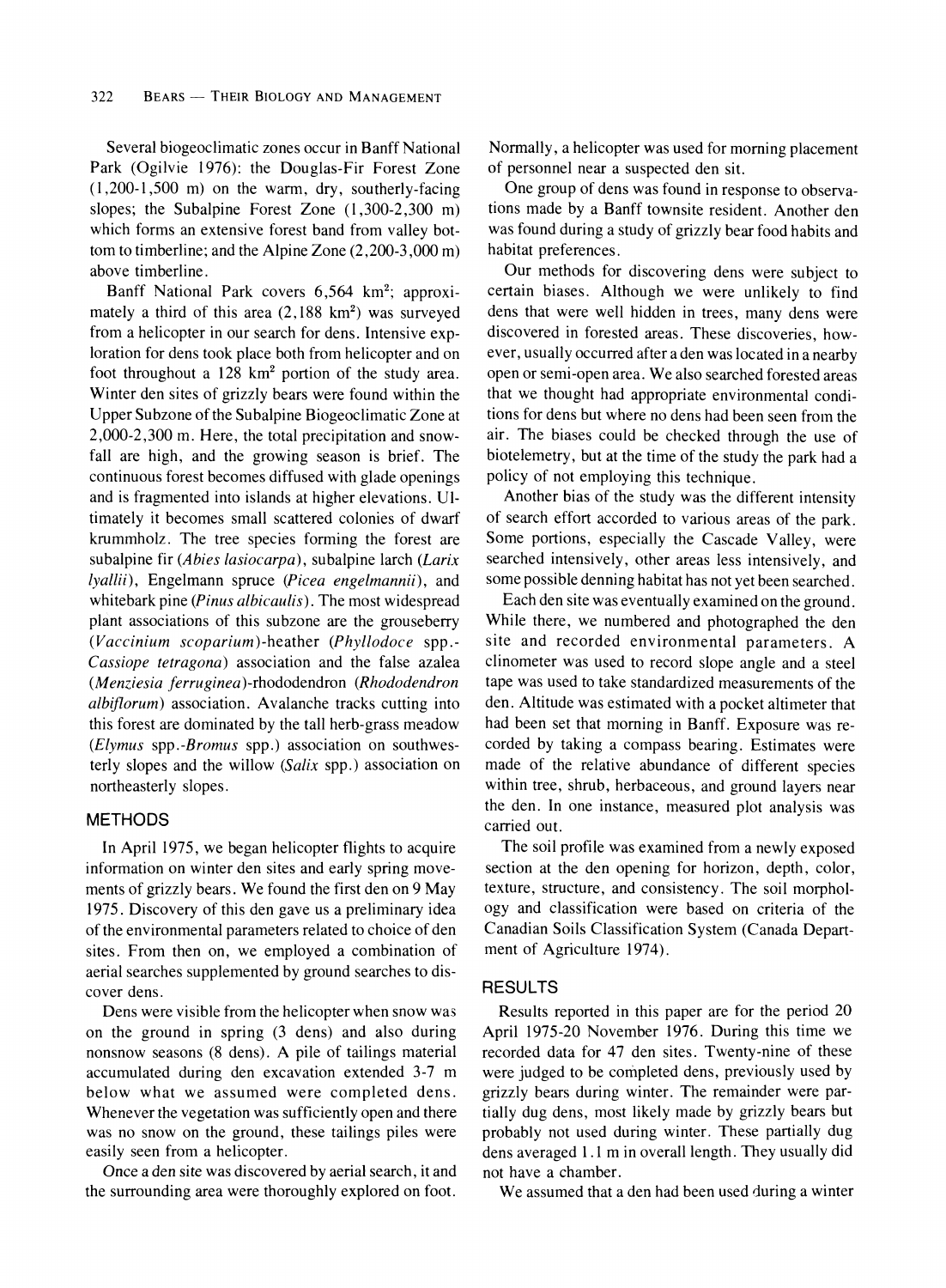**Several biogeoclimatic zones occur in Banff National Park (Ogilvie 1976): the Douglas-Fir Forest Zone (1,200-1,500 m) on the warm, dry, southerly-facing slopes; the Subalpine Forest Zone (1,300-2,300 m) which forms an extensive forest band from valley bottom to timberline; and the Alpine Zone (2,200-3,000 m) above timberline.** 

Banff National Park covers 6,564 km<sup>2</sup>; approximately a third of this area  $(2,188 \text{ km}^2)$  was surveyed **from a helicopter in our search for dens. Intensive exploration for dens took place both from helicopter and on foot throughout a 128 km2 portion of the study area. Winter den sites of grizzly bears were found within the Upper Subzone of the Subalpine Biogeoclimatic Zone at 2,000-2,300 m. Here, the total precipitation and snowfall are high, and the growing season is brief. The continuous forest becomes diffused with glade openings and is fragmented into islands at higher elevations. Ultimately it becomes small scattered colonies of dwarf krummholz. The tree species forming the forest are subalpine fir (Abies lasiocarpa), subalpine larch (Larix lyallii), Engelmann spruce (Picea engelmannii), and whitebark pine (Pinus albicaulis). The most widespread plant associations of this subzone are the grouseberry (Vaccinium scoparium )-heather (Phyllodoce spp.- Cassiope tetragona) association and the false azalea (Menziesia ferruginea)-rhododendron (Rhododendron albiflorum) association. Avalanche tracks cutting into this forest are dominated by the tall herb-grass meadow (Elymus spp.-Bromus spp.) association on southwesterly slopes and the willow (Salix spp.) association on northeasterly slopes.** 

### **METHODS**

**In April 1975, we began helicopter flights to acquire information on winter den sites and early spring movements of grizzly bears. We found the first den on 9 May 1975. Discovery of this den gave us a preliminary idea of the environmental parameters related to choice of den sites. From then on, we employed a combination of aerial searches supplemented by ground searches to discover dens.** 

**Dens were visible from the helicopter when snow was on the ground in spring (3 dens) and also during nonsnow seasons (8 dens). A pile of tailings material accumulated during den excavation extended 3-7 m below what we assumed were completed dens. Whenever the vegetation was sufficiently open and there was no snow on the ground, these tailings piles were easily seen from a helicopter.** 

**Once a den site was discovered by aerial search, it and the surrounding area were thoroughly explored on foot.** 

**Normally, a helicopter was used for morning placement of personnel near a suspected den sit.** 

**One group of dens was found in response to observations made by a Banff townsite resident. Another den was found during a study of grizzly bear food habits and habitat preferences.** 

**Our methods for discovering dens were subject to certain biases. Although we were unlikely to find dens that were well hidden in trees, many dens were discovered in forested areas. These discoveries, however, usually occurred after a den was located in a nearby open or semi-open area. We also searched forested areas that we thought had appropriate environmental conditions for dens but where no dens had been seen from the air. The biases could be checked through the use of biotelemetry, but at the time of the study the park had a policy of not employing this technique.** 

**Another bias of the study was the different intensity of search effort accorded to various areas of the park. Some portions, especially the Cascade Valley, were searched intensively, other areas less intensively, and some possible denning habitat has not yet been searched.** 

**Each den site was eventually examined on the ground. While there, we numbered and photographed the den site and recorded environmental parameters. A clinometer was used to record slope angle and a steel tape was used to take standardized measurements of the den. Altitude was estimated with a pocket altimeter that had been set that morning in Banff. Exposure was recorded by taking a compass bearing. Estimates were made of the relative abundance of different species within tree, shrub, herbaceous, and ground layers near the den. In one instance, measured plot analysis was carried out.** 

**The soil profile was examined from a newly exposed section at the den opening for horizon, depth, color, texture, structure, and consistency. The soil morphology and classification were based on criteria of the Canadian Soils Classification System (Canada Department of Agriculture 1974).** 

#### **RESULTS**

**Results reported in this paper are for the period 20 April 1975-20 November 1976. During this time we recorded data for 47 den sites. Twenty-nine of these were judged to be completed dens, previously used by grizzly bears during winter. The remainder were partially dug dens, most likely made by grizzly bears but probably not used during winter. These partially dug dens averaged 1.1 m in overall length. They usually did not have a chamber.** 

**We assumed that a den had been used during a winter**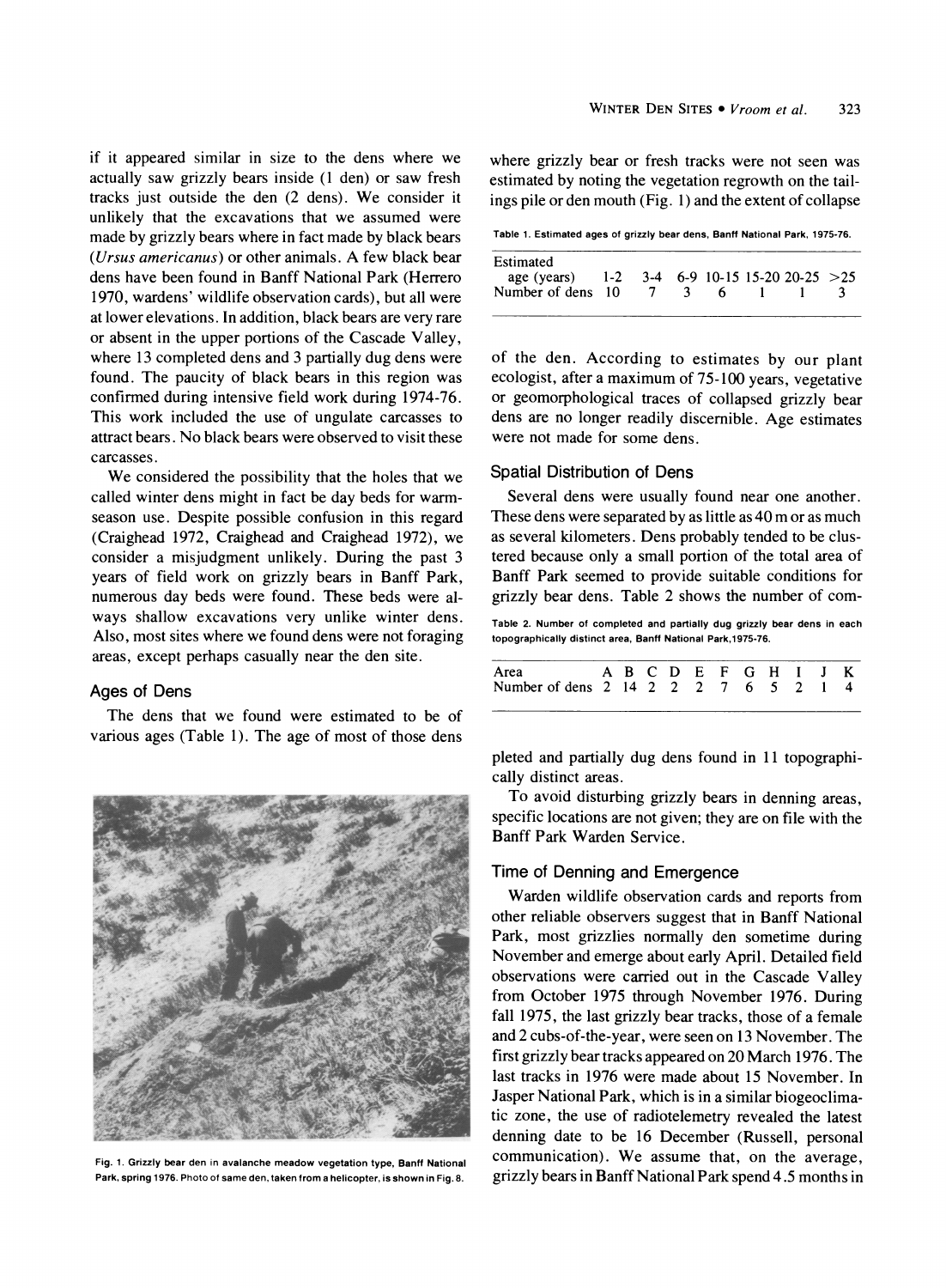**if it appeared similar in size to the dens where we actually saw grizzly bears inside (1 den) or saw fresh tracks just outside the den (2 dens). We consider it unlikely that the excavations that we assumed were made by grizzly bears where in fact made by black bears (Ursus americanus) or other animals. A few black bear dens have been found in Banff National Park (Herrero 1970, wardens' wildlife observation cards), but all were at lower elevations. In addition, black bears are very rare or absent in the upper portions of the Cascade Valley, where 13 completed dens and 3 partially dug dens were found. The paucity of black bears in this region was confirmed during intensive field work during 1974-76. This work included the use of ungulate carcasses to attract bears. No black bears were observed to visit these carcasses.** 

**We considered the possibility that the holes that we called winter dens might in fact be day beds for warmseason use. Despite possible confusion in this regard (Craighead 1972, Craighead and Craighead 1972), we consider a misjudgment unlikely. During the past 3 years of field work on grizzly bears in Banff Park, numerous day beds were found. These beds were always shallow excavations very unlike winter dens. Also, most sites where we found dens were not foraging areas, except perhaps casually near the den site.** 

### **Ages of Dens**

**The dens that we found were estimated to be of various ages (Table 1). The age of most of those dens** 



**Fig. 1. Grizzly bear den in avalanche meadow vegetation type, Banff National Park, spring 1976. Photo of same den, taken from a helicopter, is shown in Fig. 8.** 

**where grizzly bear or fresh tracks were not seen was estimated by noting the vegetation regrowth on the tailings pile or den mouth (Fig. 1) and the extent of collapse** 

**Table 1. Estimated ages of grizzly bear dens, Banff National Park, 1975-76.** 

| Estimated<br>age (years) 1-2 3-4 6-9 10-15 15-20 20-25 > 25<br>Number of dens 10 |  |  | $\overline{\mathbf{3}}$ | 6. |  |  |  |
|----------------------------------------------------------------------------------|--|--|-------------------------|----|--|--|--|
|----------------------------------------------------------------------------------|--|--|-------------------------|----|--|--|--|

**of the den. According to estimates by our plant ecologist, after a maximum of 75-100 years, vegetative or geomorphological traces of collapsed grizzly bear dens are no longer readily discernible. Age estimates were not made for some dens.** 

### **Spatial Distribution of Dens**

**Several dens were usually found near one another. These dens were separated by as little as 40 m or as much as several kilometers. Dens probably tended to be clustered because only a small portion of the total area of Banff Park seemed to provide suitable conditions for grizzly bear dens. Table 2 shows the number of com-**

**Table 2. Number of completed and partially dug grizzly bear dens in each topographically distinct area, Banff National Park,1975-76.** 

| Area ABCDEFGHIJK<br>Number of dens 2 14 2 2 2 7 6 5 2 1 4 |  |  |  |  |  |  |
|-----------------------------------------------------------|--|--|--|--|--|--|
|                                                           |  |  |  |  |  |  |

**pleted and partially dug dens found in 11 topographically distinct areas.** 

**To avoid disturbing grizzly bears in denning areas, specific locations are not given; they are on file with the Banff Park Warden Service.** 

# **Time of Denning and Emergence**

**Warden wildlife observation cards and reports from other reliable observers suggest that in Banff National Park, most grizzlies normally den sometime during November and emerge about early April. Detailed field observations were carried out in the Cascade Valley from October 1975 through November 1976. During fall 1975, the last grizzly bear tracks, those of a female and 2 cubs-of-the-year, were seen on 13 November. The first grizzly bear tracks appeared on 20 March 1976. The last tracks in 1976 were made about 15 November. In Jasper National Park, which is in a similar biogeoclimatic zone, the use of radiotelemetry revealed the latest denning date to be 16 December (Russell, personal communication). We assume that, on the average, grizzly bears in Banff National Park spend 4.5 months in**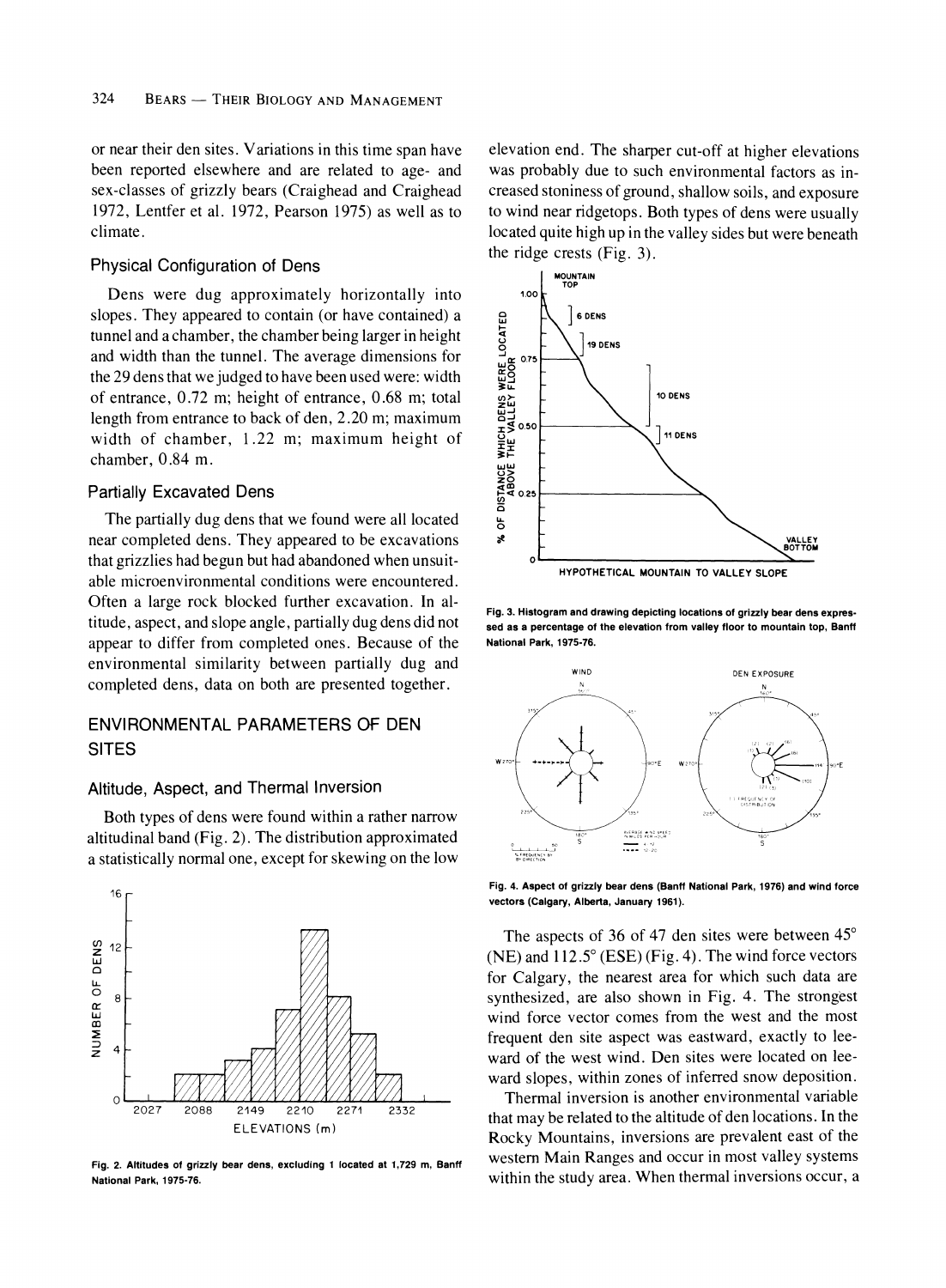**or near their den sites. Variations in this time span have been reported elsewhere and are related to age- and sex-classes of grizzly bears (Craighead and Craighead 1972, Lentfer et al. 1972, Pearson 1975) as well as to climate.** 

### **Physical Configuration of Dens**

**Dens were dug approximately horizontally into slopes. They appeared to contain (or have contained) a tunnel and a chamber, the chamber being larger in height and width than the tunnel. The average dimensions for the 29 dens that we judged to have been used were: width of entrance, 0.72 m; height of entrance, 0.68 m; total length from entrance to back of den, 2.20 m; maximum width of chamber, 1.22 m; maximum height of chamber, 0.84 m.** 

# **Partially Excavated Dens**

**The partially dug dens that we found were all located near completed dens. They appeared to be excavations that grizzlies had begun but had abandoned when unsuitable microenvironmental conditions were encountered. Often a large rock blocked further excavation. In altitude, aspect, and slope angle, partially dug dens did not appear to differ from completed ones. Because of the environmental similarity between partially dug and completed dens, data on both are presented together.** 

# **ENVIRONMENTAL PARAMETERS OF DEN SITES**

### **Altitude, Aspect, and Thermal Inversion**

**Both types of dens were found within a rather narrow altitudinal band (Fig. 2). The distribution approximated a statistically normal one, except for skewing on the low** 



**Fig. 2. Altitudes of grizzly bear dens, excluding 1 located at 1,729 m, Banff National Park, 1975-76.** 

**elevation end. The sharper cut-off at higher elevations was probably due to such environmental factors as increased stoniness of ground, shallow soils, and exposure to wind near ridgetops. Both types of dens were usually located quite high up in the valley sides but were beneath the ridge crests (Fig. 3).** 



**Fig. 3. Histogram and drawing depicting locations of grizzly bear dens expressed as a percentage of the elevation from valley floor to mountain top, Banff National Park, 1975-76.** 



**Fig. 4. Aspect of grizzly bear dens (Banff National Park, 1976) and wind force vectors (Calgary, Alberta, January 1961).** 

**The aspects of 36 of 47 den sites were between 45? (NE) and 112.5? (ESE) (Fig. 4). The wind force vectors for Calgary, the nearest area for which such data are synthesized, are also shown in Fig. 4. The strongest wind force vector comes from the west and the most frequent den site aspect was eastward, exactly to leeward of the west wind. Den sites were located on leeward slopes, within zones of inferred snow deposition.** 

**Thermal inversion is another environmental variable that may be related to the altitude of den locations. In the Rocky Mountains, inversions are prevalent east of the western Main Ranges and occur in most valley systems within the study area. When thermal inversions occur, a**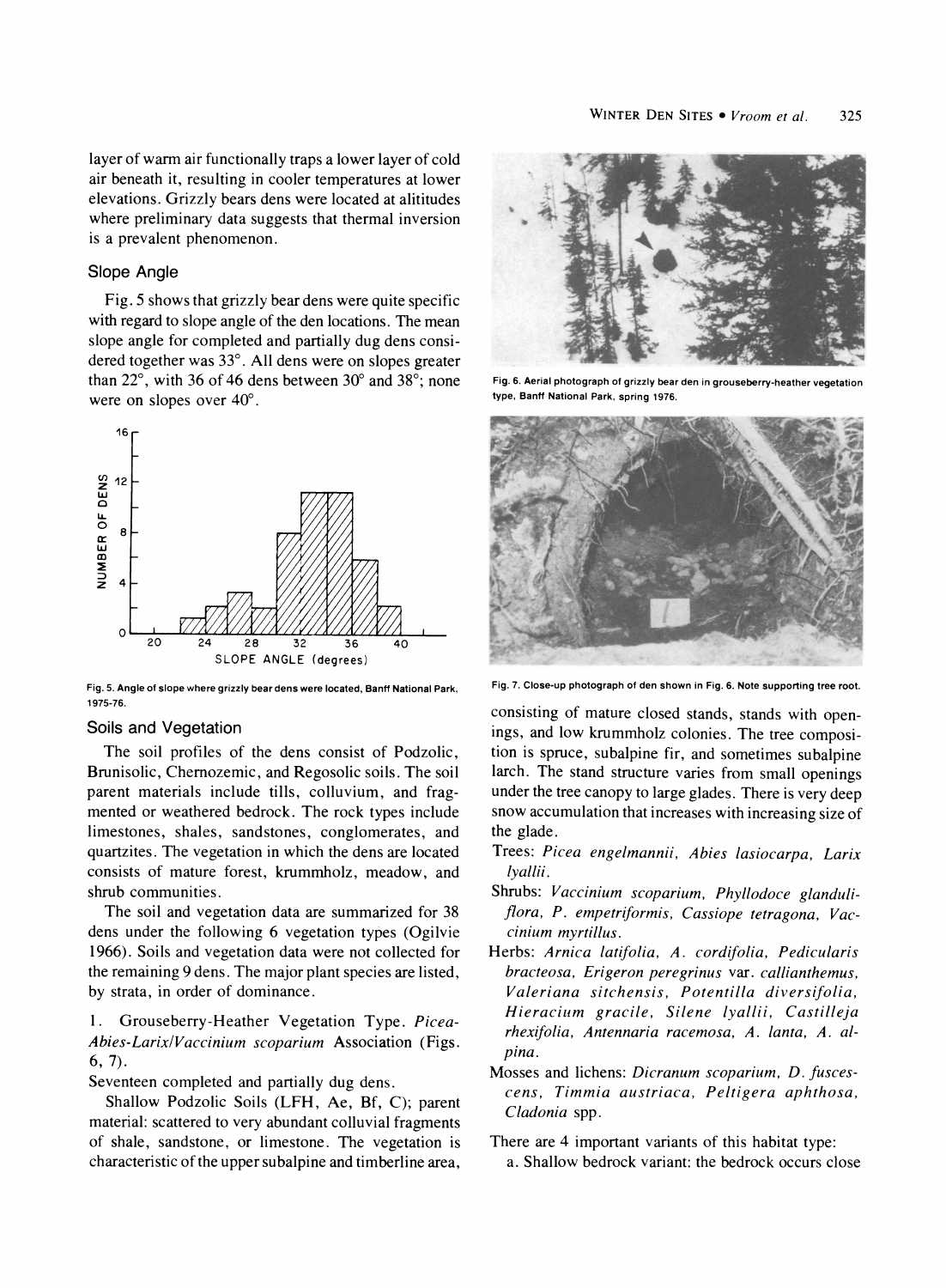**layer of warm air functionally traps a lower layer of cold air beneath it, resulting in cooler temperatures at lower elevations. Grizzly bears dens were located at alititudes where preliminary data suggests that thermal inversion is a prevalent phenomenon.** 

### **Slope Angle**

**Fig. 5 shows that grizzly bear dens were quite specific with regard to slope angle of the den locations. The mean slope angle for completed and partially dug dens considered together was 33?. All dens were on slopes greater than 22?, with 36 of 46 dens between 30? and 38?; none were on slopes over 40?.** 



**1975-76** 

### **Soils and Vegetation**

**The soil profiles of the dens consist of Podzolic, Brunisolic, Chemozemic, and Regosolic soils. The soil parent materials include tills, colluvium, and fragmented or weathered bedrock. The rock types include limestones, shales, sandstones, conglomerates, and quartzites. The vegetation in which the dens are located consists of mature forest, krummholz, meadow, and shrub communities.** 

**The soil and vegetation data are summarized for 38 dens under the following 6 vegetation types (Ogilvie 1966). Soils and vegetation data were not collected for the remaining 9 dens. The major plant species are listed, by strata, in order of dominance.** 

**1. Grouseberry-Heather Vegetation Type. Picea-Abies-Larix/Vaccinium scoparium Association (Figs. 6, 7).** 

**Seventeen completed and partially dug dens.** 

**Shallow Podzolic Soils (LFH, Ae, Bf, C); parent material: scattered to very abundant colluvial fragments of shale, sandstone, or limestone. The vegetation is characteristic of the upper subalpine and timberline area,** 



**Fig. 6. Aerial photograph of grizzly bear den in grouseberry-heather vegetation type, Banff National Park, spring 1976.** 



**Fig. 5. Angle of slope where grizzly bear dens were located, Banff National Park, Fig. 7. Close-up photograph of den shown in Fig. 6. Note supporting tree root.** 

**consisting of mature closed stands, stands with openings, and low krummholz colonies. The tree composition is spruce, subalpine fir, and sometimes subalpine larch. The stand structure varies from small openings under the tree canopy to large glades. There is very deep snow accumulation that increases with increasing size of the glade.** 

- **Trees: Picea engelmannii, Abies lasiocarpa, Larix lyallii.**
- **Shrubs: Vaccinium scoparium, Phyllodoce glanduliflora, P. empetriformis, Cassiope tetragona, Vaccinium myrtillus.**
- **Herbs: Arnica latifolia, A. cordifolia, Pedicularis bracteosa, Erigeron peregrinus var. callianthemus, Valeriana sitchensis, Potentilla diversifolia, Hieracium gracile, Silene lyallii, Castilleja rhexifolia, Antennaria racemosa, A. lanta, A. alpina.**
- **Mosses and lichens: Dicranum scoparium, D. fuscescens, Timmia austriaca, Peltigera aphthosa, Cladonia spp.**

**There are 4 important variants of this habitat type: a. Shallow bedrock variant: the bedrock occurs close**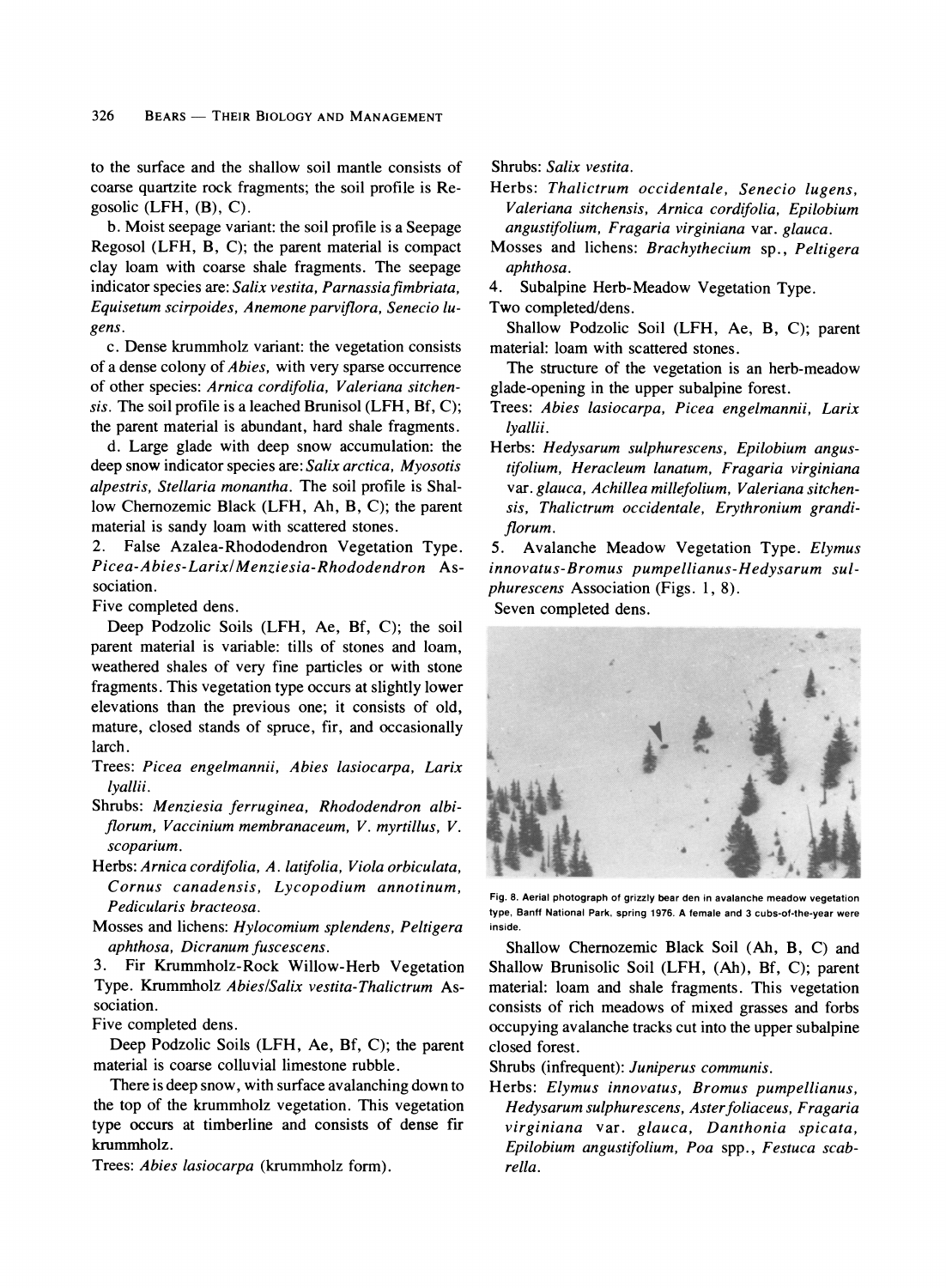**to the surface and the shallow soil mantle consists of coarse quartzite rock fragments; the soil profile is Regosolic (LFH, (B), C).** 

**b. Moist seepage variant: the soil profile is a Seepage Regosol (LFH, B, C); the parent material is compact clay loam with coarse shale fragments. The seepage indicator species are: Salix vestita, Parnassiafimbriata, Equisetum scirpoides, Anemone parviflora, Senecio lugens.** 

**c. Dense krummholz variant: the vegetation consists of a dense colony of Abies, with very sparse occurrence of other species: Arnica cordifolia, Valeriana sitchensis. The soil profile is a leached Brunisol (LFH, Bf, C); the parent material is abundant, hard shale fragments.** 

**d. Large glade with deep snow accumulation: the deep snow indicator species are: Salix arctica, Myosotis alpestris, Stellaria monantha. The soil profile is Shallow Chemozemic Black (LFH, Ah, B, C); the parent material is sandy loam with scattered stones.** 

**2. False Azalea-Rhododendron Vegetation Type. Picea-Abies-Larix/Menziesia-Rhododendron Association.** 

**Five completed dens.** 

**Deep Podzolic Soils (LFH, Ae, Bf, C); the soil parent material is variable: tills of stones and loam, weathered shales of very fine particles or with stone fragments. This vegetation type occurs at slightly lower elevations than the previous one; it consists of old, mature, closed stands of spruce, fir, and occasionally larch.** 

- **Trees: Picea engelmannii, Abies lasiocarpa, Larix lyallii.**
- **Shrubs: Menziesia ferruginea, Rhododendron albiflorum, Vaccinium membranaceum, V. myrtillus, V. scoparium.**
- **Herbs: Arnica cordifolia, A. latifolia, Viola orbiculata, Cornus canadensis, Lycopodium annotinum, Pedicularis bracteosa.**
- **Mosses and lichens: Hylocomium splendens, Peltigera aphthosa, Dicranum fuscescens.**

**3. Fir Krummholz-Rock Willow-Herb Vegetation Type. Krummholz Abies/Salix vestita-Thalictrum Association.** 

**Five completed dens.** 

**Deep Podzolic Soils (LFH, Ae, Bf, C); the parent material is coarse colluvial limestone rubble.** 

**There is deep snow, with surface avalanching down to the top of the krummholz vegetation. This vegetation type occurs at timberline and consists of dense fir krummholz.** 

**Trees: Abies lasiocarpa (krummholz form).** 

**Shrubs: Salix vestita.** 

**Herbs: Thalictrum occidentale, Senecio lugens, Valeriana sitchensis, Arnica cordifolia, Epilobium angustifolium, Fragaria virginiana var. glauca.** 

- **Mosses and lichens: Brachythecium sp., Peltigera aphthosa.**
- **4. Subalpine Herb-Meadow Vegetation Type. Two completed/dens.**

**Shallow Podzolic Soil (LFH, Ae, B, C); parent material: loam with scattered stones.** 

**The structure of the vegetation is an herb-meadow glade-opening in the upper subalpine forest.** 

- **Trees: Abies lasiocarpa, Picea engelmannii, Larix lyallii.**
- **Herbs: Hedysarum sulphurescens, Epilobium angustifolium, Heracleum lanatum, Fragaria virginiana var. glauca, Achillea millefolium, Valeriana sitchensis, Thalictrum occidentale, Erythronium grandiflorum.**

**5. Avalanche Meadow Vegetation Type. Elymus innovatus-Bromus pumpellianus-Hedysarum sulphurescens Association (Figs. 1, 8). Seven completed dens.** 





**Fig. 8. Aerial photograph of grizzly bear den in avalanche meadow vegetation type, Banff National Park, spring 1976. A female and 3 cubs-of-the-year were inside.** 

**Shallow Chernozemic Black Soil (Ah, B, C) and Shallow Brunisolic Soil (LFH, (Ah), Bf, C); parent material: loam and shale fragments. This vegetation consists of rich meadows of mixed grasses and forbs occupying avalanche tracks cut into the upper subalpine closed forest.** 

**Shrubs (infrequent): Juniperus communis.** 

**Herbs: Elymus innovatus, Bromus pumpellianus, Hedysarum sulphurescens, Asterfoliaceus, Fragaria virginiana var. glauca, Danthonia spicata, Epilobium angustifolium, Poa spp., Festuca scabrella.**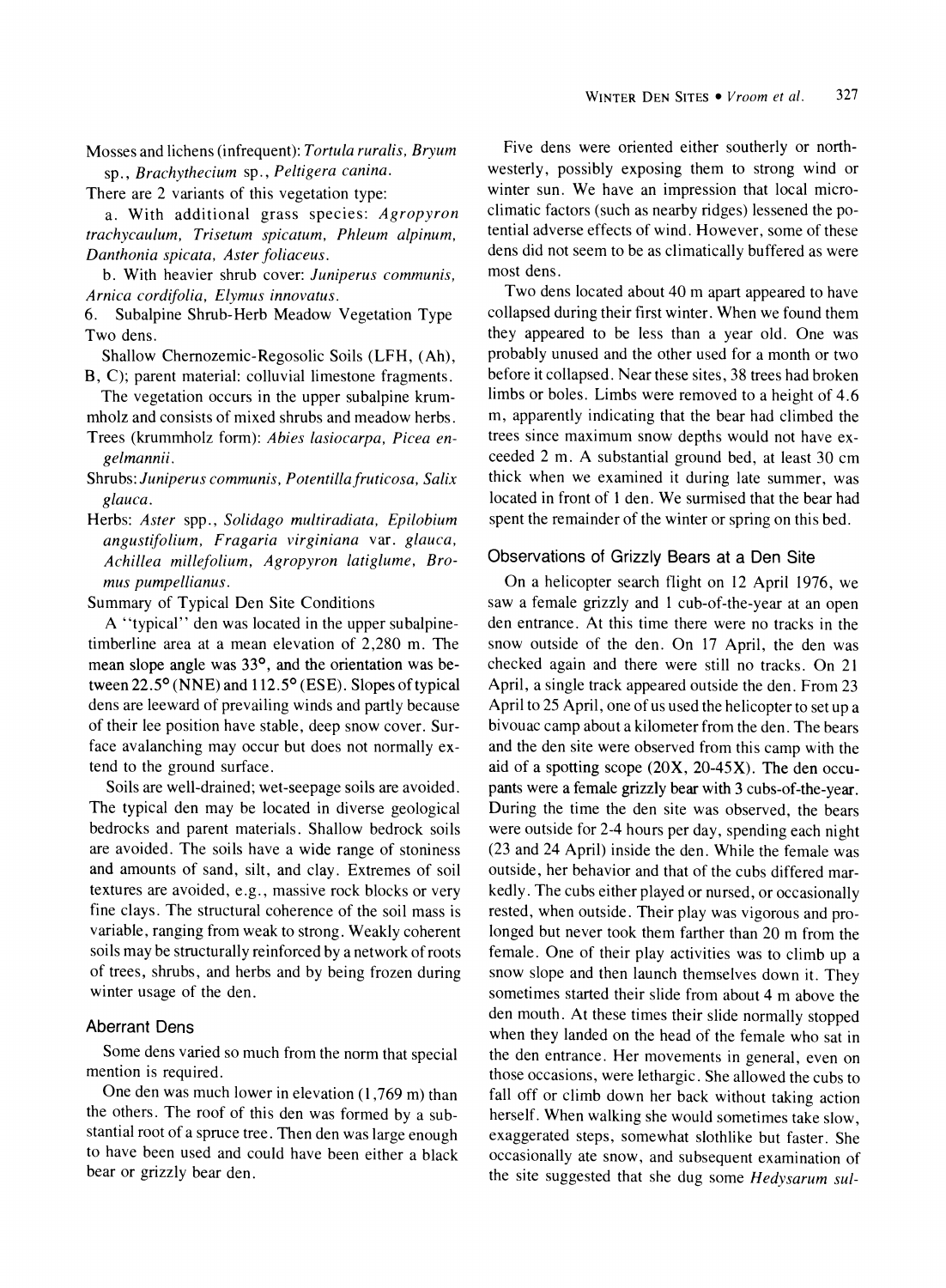**Mosses and lichens (infrequent): Tortula ruralis, Bryum sp., Brachythecium sp., Peltigera canina.** 

**There are 2 variants of this vegetation type:** 

**a. With additional grass species: Agropyron trachycaulum, Trisetum spicatum, Phleum alpinum, Danthonia spicata, Aster foliaceus.** 

**b. With heavier shrub cover: Juniperus communis, Arnica cordifolia, Elymus innovatus.** 

**6. Subalpine Shrub-Herb Meadow Vegetation Type Two dens.** 

**Shallow Chernozemic-Regosolic Soils (LFH, (Ah), B, C); parent material: colluvial limestone fragments.** 

**The vegetation occurs in the upper subalpine krummholz and consists of mixed shrubs and meadow herbs.** 

**Trees (krummholz form): Abies lasiocarpa, Picea engelmannii.** 

**Shrubs: Juniperus communis, Potentillafruticosa, Salix glauca.** 

**Herbs: Aster spp., Solidago multiradiata, Epilobium angustifolium, Fragaria virginiana var. glauca, Achillea millefolium, Agropyron latiglume, Bromus pumpellianus.** 

**Summary of Typical Den Site Conditions** 

**A "typical" den was located in the upper subalpinetimberline area at a mean elevation of 2,280 m. The**  mean slope angle was 33°, and the orientation was be**tween 22.5? (NNE) and 112.5? (ESE). Slopes of typical dens are leeward of prevailing winds and partly because of their lee position have stable, deep snow cover. Surface avalanching may occur but does not normally extend to the ground surface.** 

**Soils are well-drained; wet-seepage soils are avoided. The typical den may be located in diverse geological bedrocks and parent materials. Shallow bedrock soils are avoided. The soils have a wide range of stoniness and amounts of sand, silt, and clay. Extremes of soil textures are avoided, e.g., massive rock blocks or very fine clays. The structural coherence of the soil mass is variable, ranging from weak to strong. Weakly coherent soils may be structurally reinforced by a network of roots of trees, shrubs, and herbs and by being frozen during winter usage of the den.** 

### **Aberrant Dens**

**Some dens varied so much from the norm that special mention is required.** 

**One den was much lower in elevation (1,769 m) than the others. The roof of this den was formed by a substantial root of a spruce tree. Then den was large enough to have been used and could have been either a black bear or grizzly bear den.** 

**Five dens were oriented either southerly or northwesterly, possibly exposing them to strong wind or winter sun. We have an impression that local microclimatic factors (such as nearby ridges) lessened the potential adverse effects of wind. However, some of these dens did not seem to be as climatically buffered as were most dens.** 

**Two dens located about 40 m apart appeared to have collapsed during their first winter. When we found them they appeared to be less than a year old. One was probably unused and the other used for a month or two before it collapsed. Near these sites, 38 trees had broken limbs or boles. Limbs were removed to a height of 4.6 m, apparently indicating that the bear had climbed the trees since maximum snow depths would not have exceeded 2 m. A substantial ground bed, at least 30 cm thick when we examined it during late summer, was located in front of 1 den. We surmised that the bear had spent the remainder of the winter or spring on this bed.** 

# **Observations of Grizzly Bears at a Den Site**

**On a helicopter search flight on 12 April 1976, we saw a female grizzly and 1 cub-of-the-year at an open den entrance. At this time there were no tracks in the snow outside of the den. On 17 April, the den was checked again and there were still no tracks. On 21 April, a single track appeared outside the den. From 23 April to 25 April, one of us used the helicopter to set up a bivouac camp about a kilometer from the den. The bears and the den site were observed from this camp with the aid of a spotting scope (20X, 20-45X). The den occupants were a female grizzly bear with 3 cubs-of-the-year. During the time the den site was observed, the bears were outside for 2-4 hours per day, spending each night (23 and 24 April) inside the den. While the female was outside, her behavior and that of the cubs differed markedly. The cubs either played or nursed, or occasionally rested, when outside. Their play was vigorous and prolonged but never took them farther than 20 m from the female. One of their play activities was to climb up a snow slope and then launch themselves down it. They sometimes started their slide from about 4 m above the den mouth. At these times their slide normally stopped when they landed on the head of the female who sat in the den entrance. Her movements in general, even on those occasions, were lethargic. She allowed the cubs to fall off or climb down her back without taking action herself. When walking she would sometimes take slow, exaggerated steps, somewhat slothlike but faster. She occasionally ate snow, and subsequent examination of the site suggested that she dug some Hedysarum sul-**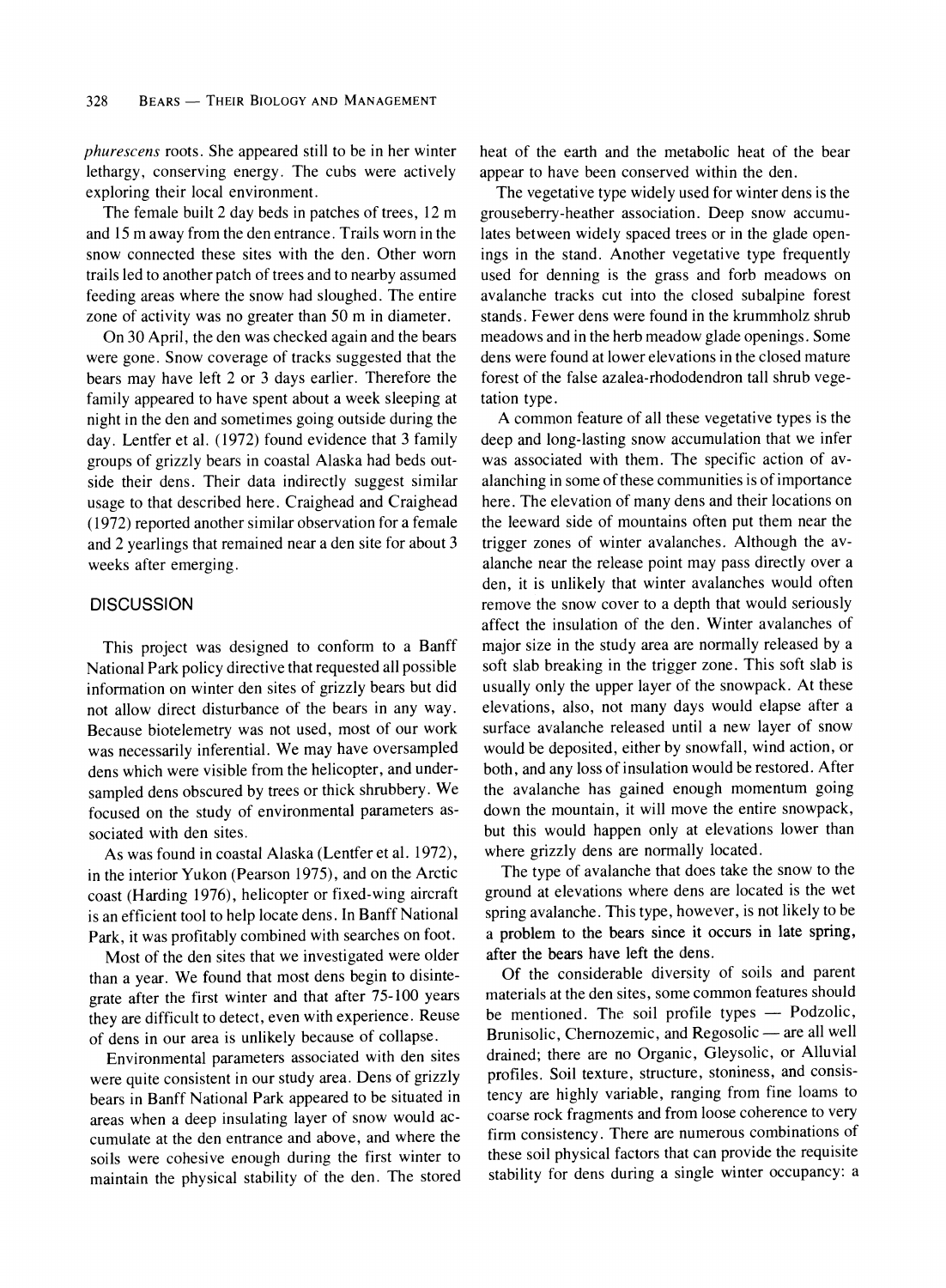**phurescens roots. She appeared still to be in her winter lethargy, conserving energy. The cubs were actively exploring their local environment.** 

**The female built 2 day beds in patches of trees, 12 m and 15 m away from the den entrance. Trails worn in the snow connected these sites with the den. Other worn trails led to another patch of trees and to nearby assumed feeding areas where the snow had sloughed. The entire zone of activity was no greater than 50 m in diameter.** 

**On 30 April, the den was checked again and the bears were gone. Snow coverage of tracks suggested that the bears may have left 2 or 3 days earlier. Therefore the family appeared to have spent about a week sleeping at night in the den and sometimes going outside during the day. Lentfer et al. (1972) found evidence that 3 family groups of grizzly bears in coastal Alaska had beds outside their dens. Their data indirectly suggest similar usage to that described here. Craighead and Craighead (1972) reported another similar observation for a female and 2 yearlings that remained near a den site for about 3 weeks after emerging.** 

# **DISCUSSION**

**This project was designed to conform to a Banff National Park policy directive that requested all possible information on winter den sites of grizzly bears but did not allow direct disturbance of the bears in any way. Because biotelemetry was not used, most of our work was necessarily inferential. We may have oversampled dens which were visible from the helicopter, and undersampled dens obscured by trees or thick shrubbery. We focused on the study of environmental parameters associated with den sites.** 

**As was found in coastal Alaska (Lentfer et al. 1972), in the interior Yukon (Pearson 1975), and on the Arctic coast (Harding 1976), helicopter or fixed-wing aircraft is an efficient tool to help locate dens. In Banff National Park, it was profitably combined with searches on foot.** 

**Most of the den sites that we investigated were older than a year. We found that most dens begin to disintegrate after the first winter and that after 75-100 years they are difficult to detect, even with experience. Reuse of dens in our area is unlikely because of collapse.** 

**Environmental parameters associated with den sites were quite consistent in our study area. Dens of grizzly bears in Banff National Park appeared to be situated in areas when a deep insulating layer of snow would accumulate at the den entrance and above, and where the soils were cohesive enough during the first winter to maintain the physical stability of the den. The stored**  **heat of the earth and the metabolic heat of the bear appear to have been conserved within the den.** 

**The vegetative type widely used for winter dens is the grouseberry-heather association. Deep snow accumulates between widely spaced trees or in the glade openings in the stand. Another vegetative type frequently used for denning is the grass and forb meadows on avalanche tracks cut into the closed subalpine forest stands. Fewer dens were found in the krummholz shrub meadows and in the herb meadow glade openings. Some dens were found at lower elevations in the closed mature forest of the false azalea-rhododendron tall shrub vegetation type.** 

**A common feature of all these vegetative types is the deep and long-lasting snow accumulation that we infer was associated with them. The specific action of avalanching in some of these communities is of importance here. The elevation of many dens and their locations on the leeward side of mountains often put them near the trigger zones of winter avalanches. Although the avalanche near the release point may pass directly over a den, it is unlikely that winter avalanches would often remove the snow cover to a depth that would seriously affect the insulation of the den. Winter avalanches of major size in the study area are normally released by a soft slab breaking in the trigger zone. This soft slab is usually only the upper layer of the snowpack. At these elevations, also, not many days would elapse after a surface avalanche released until a new layer of snow would be deposited, either by snowfall, wind action, or both, and any loss of insulation would be restored. After the avalanche has gained enough momentum going down the mountain, it will move the entire snowpack, but this would happen only at elevations lower than where grizzly dens are normally located.** 

**The type of avalanche that does take the snow to the ground at elevations where dens are located is the wet spring avalanche. This type, however, is not likely to be a problem to the bears since it occurs in late spring, after the bears have left the dens.** 

**Of the considerable diversity of soils and parent materials at the den sites, some common features should be mentioned. The soil profile types - Podzolic,**  Brunisolic, Chernozemic, and Regosolic — are all well **drained; there are no Organic, Gleysolic, or Alluvial profiles. Soil texture, structure, stoniness, and consistency are highly variable, ranging from fine loams to coarse rock fragments and from loose coherence to very firm consistency. There are numerous combinations of these soil physical factors that can provide the requisite stability for dens during a single winter occupancy: a**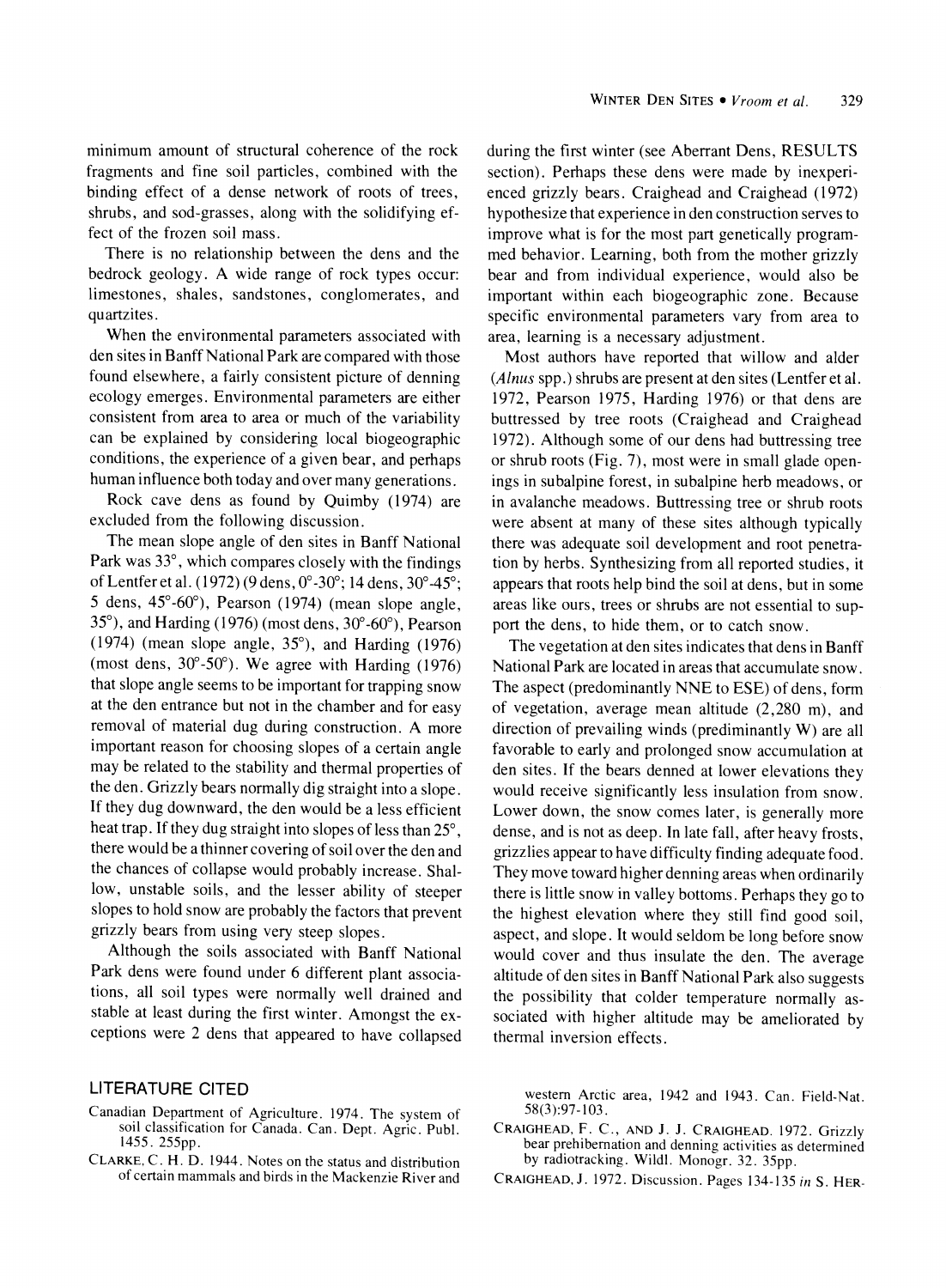**minimum amount of structural coherence of the rock fragments and fine soil particles, combined with the binding effect of a dense network of roots of trees, shrubs, and sod-grasses, along with the solidifying effect of the frozen soil mass.** 

**There is no relationship between the dens and the bedrock geology. A wide range of rock types occur: limestones, shales, sandstones, conglomerates, and quartzites.** 

**When the environmental parameters associated with den sites in Banff National Park are compared with those found elsewhere, a fairly consistent picture of denning ecology emerges. Environmental parameters are either consistent from area to area or much of the variability can be explained by considering local biogeographic conditions, the experience of a given bear, and perhaps human influence both today and over many generations.** 

**Rock cave dens as found by Quimby (1974) are excluded from the following discussion.** 

**The mean slope angle of den sites in Banff National Park was 33?, which compares closely with the findings ofLentfer et al. (1972) (9 dens, 0?-30?; 14 dens, 30?-45?; 5 dens, 45?-60?), Pearson (1974) (mean slope angle, 35?), and Harding (1976) (most dens, 30?-60?), Pearson (1974) (mean slope angle, 35?), and Harding (1976) (most dens, 30?-50?). We agree with Harding (1976) that slope angle seems to be important for trapping snow at the den entrance but not in the chamber and for easy removal of material dug during construction. A more important reason for choosing slopes of a certain angle may be related to the stability and thermal properties of the den. Grizzly bears normally dig straight into a slope. If they dug downward, the den would be a less efficient heat trap. If they dug straight into slopes of less than 25?, there would be a thinner covering of soil over the den and the chances of collapse would probably increase. Shallow, unstable soils, and the lesser ability of steeper slopes to hold snow are probably the factors that prevent grizzly bears from using very steep slopes.** 

**Although the soils associated with Banff National Park dens were found under 6 different plant associations, all soil types were normally well drained and stable at least during the first winter. Amongst the exceptions were 2 dens that appeared to have collapsed** 

# **LITERATURE CITED**

- **Canadian Department of Agriculture. 1974. The system of soil classification for Canada. Can. Dept. Agric. Publ. 1455. 255pp.**
- **CLARKE, C. H. D. 1944. Notes on the status and distribution of certain mammals and birds in the Mackenzie River and**

**during the first winter (see Aberrant Dens, RESULTS section). Perhaps these dens were made by inexperienced grizzly bears. Craighead and Craighead (1972) hypothesize that experience in den construction serves to improve what is for the most part genetically programmed behavior. Learning, both from the mother grizzly bear and from individual experience, would also be important within each biogeographic zone. Because specific environmental parameters vary from area to area, learning is a necessary adjustment.** 

**Most authors have reported that willow and alder (Alnus spp.) shrubs are present at den sites (Lentfer et al. 1972, Pearson 1975, Harding 1976) or that dens are buttressed by tree roots (Craighead and Craighead 1972). Although some of our dens had buttressing tree or shrub roots (Fig. 7), most were in small glade openings in subalpine forest, in subalpine herb meadows, or in avalanche meadows. Buttressing tree or shrub roots were absent at many of these sites although typically there was adequate soil development and root penetration by herbs. Synthesizing from all reported studies, it appears that roots help bind the soil at dens, but in some areas like ours, trees or shrubs are not essential to support the dens, to hide them, or to catch snow.** 

**The vegetation at den sites indicates that dens in Banff National Park are located in areas that accumulate snow. The aspect (predominantly NNE to ESE) of dens, form of vegetation, average mean altitude (2,280 m), and direction of prevailing winds (prediminantly W) are all favorable to early and prolonged snow accumulation at den sites. If the bears denned at lower elevations they would receive significantly less insulation from snow. Lower down, the snow comes later, is generally more dense, and is not as deep. In late fall, after heavy frosts, grizzlies appear to have difficulty finding adequate food. They move toward higher denning areas when ordinarily there is little snow in valley bottoms. Perhaps they go to the highest elevation where they still find good soil, aspect, and slope. It would seldom be long before snow would cover and thus insulate the den. The average altitude of den sites in Banff National Park also suggests the possibility that colder temperature normally associated with higher altitude may be ameliorated by thermal inversion effects.** 

**western Arctic area, 1942 and 1943. Can. Field-Nat. 58(3):97-103.** 

- **CRAIGHEAD, F. C., AND J. J. CRAIGHEAD. 1972. Grizzly bear prehibemation and denning activities as determined by radiotracking. Wildl. Monogr. 32. 35pp.**
- **CRAIGHEAD, J. 1972. Discussion. Pages 134-135 in S. HER-**